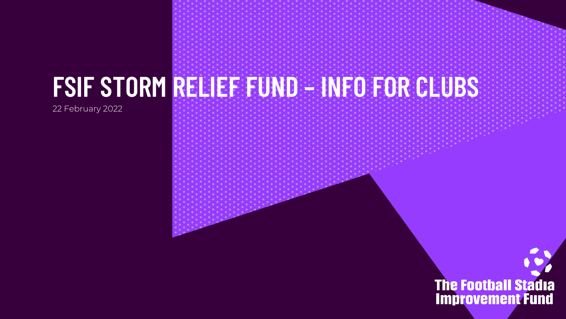22 February 2022

**FSIF STORM RELIEF FUND – INFO FOR CLUBS**

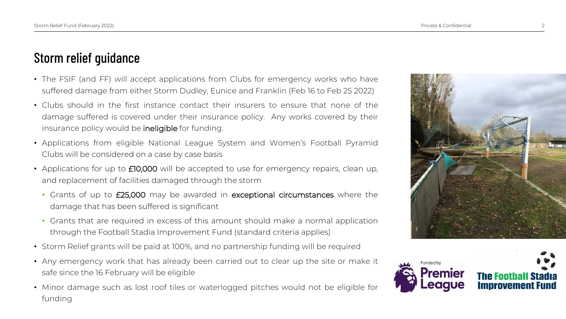## Storm relief guidance

- The FSIF (and FF) will accept applications from Clubs for emergency works who have suffered damage from either Storm Dudley, Eunice and Franklin (Feb 16 to Feb 25 2022)
- Clubs should in the first instance contact their insurers to ensure that none of the damage suffered is covered under their insurance policy. Any works covered by their insurance policy would be ineligible for funding.
- Applications from eligible National League System and Women's Football Pyramid Clubs will be considered on a case by case basis
- Applications for up to **£10,000** will be accepted to use for emergency repairs, clean up, and replacement of facilities damaged through the storm
	- Grants of up to £25,000 may be awarded in exceptional circumstances where the damage that has been suffered is significant
	- Grants that are required in excess of this amount should make a normal application through the Football Stadia Improvement Fund (standard criteria applies)
- Storm Relief grants will be paid at 100%, and no partnership funding will be required
- Any emergency work that has already been carried out to clear up the site or make it safe since the 16 February will be eligible
- Minor damage such as lost roof tiles or waterlogged pitches would not be eligible for funding



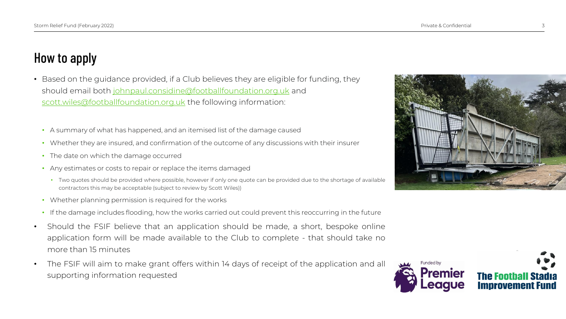## How to apply

- Based on the guidance provided, if a Club believes they are eligible for funding, they should email both [johnpaul.considine@footballfoundation.org.uk](mailto:johnpaul.considine@footballfoundation.org.uk) and [scott.wiles@footballfoundation.org.uk](mailto:scott.wiles@footballfoundation.org.uk) the following information:
	- A summary of what has happened, and an itemised list of the damage caused
	- Whether they are insured, and confirmation of the outcome of any discussions with their insurer
	- The date on which the damage occurred
	- Any estimates or costs to repair or replace the items damaged
		- Two quotes should be provided where possible, however if only one quote can be provided due to the shortage of available contractors this may be acceptable (subject to review by Scott Wiles))
	- Whether planning permission is required for the works
	- If the damage includes flooding, how the works carried out could prevent this reoccurring in the future
- Should the FSIF believe that an application should be made, a short, bespoke online application form will be made available to the Club to complete - that should take no more than 15 minutes
- The FSIF will aim to make grant offers within 14 days of receipt of the application and all supporting information requested



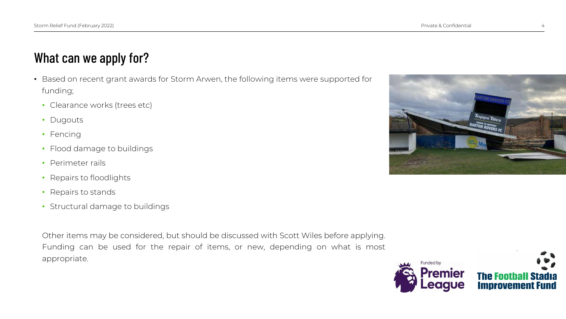## What can we apply for?

- Based on recent grant awards for Storm Arwen, the following items were supported for funding;
	- Clearance works (trees etc)
	- Dugouts
	- Fencing
	- Flood damage to buildings
	- Perimeter rails
	- Repairs to floodlights
	- Repairs to stands
	- Structural damage to buildings

Other items may be considered, but should be discussed with Scott Wiles before applying. Funding can be used for the repair of items, or new, depending on what is most appropriate.